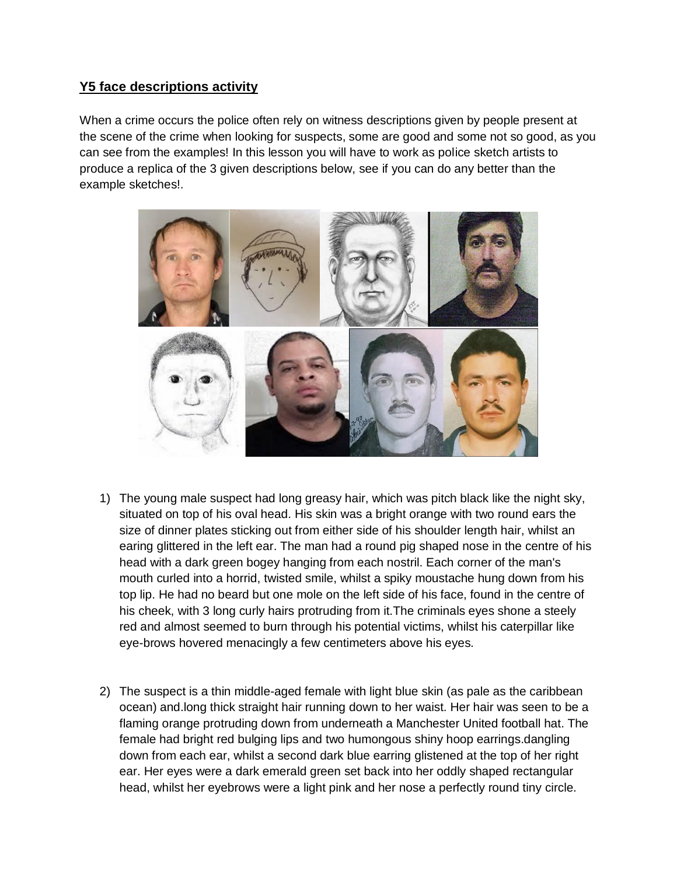## **Y5 face descriptions activity**

When a crime occurs the police often rely on witness descriptions given by people present at the scene of the crime when looking for suspects, some are good and some not so good, as you can see from the examples! In this lesson you will have to work as police sketch artists to produce a replica of the 3 given descriptions below, see if you can do any better than the example sketches!.



- 1) The young male suspect had long greasy hair, which was pitch black like the night sky, situated on top of his oval head. His skin was a bright orange with two round ears the size of dinner plates sticking out from either side of his shoulder length hair, whilst an earing glittered in the left ear. The man had a round pig shaped nose in the centre of his head with a dark green bogey hanging from each nostril. Each corner of the man's mouth curled into a horrid, twisted smile, whilst a spiky moustache hung down from his top lip. He had no beard but one mole on the left side of his face, found in the centre of his cheek, with 3 long curly hairs protruding from it.The criminals eyes shone a steely red and almost seemed to burn through his potential victims, whilst his caterpillar like eye-brows hovered menacingly a few centimeters above his eyes.
- 2) The suspect is a thin middle-aged female with light blue skin (as pale as the caribbean ocean) and.long thick straight hair running down to her waist. Her hair was seen to be a flaming orange protruding down from underneath a Manchester United football hat. The female had bright red bulging lips and two humongous shiny hoop earrings.dangling down from each ear, whilst a second dark blue earring glistened at the top of her right ear. Her eyes were a dark emerald green set back into her oddly shaped rectangular head, whilst her eyebrows were a light pink and her nose a perfectly round tiny circle.